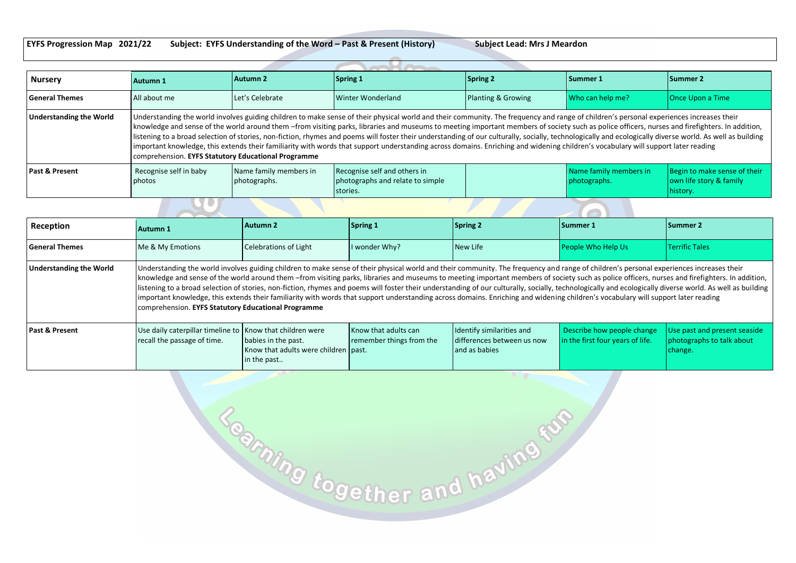**EYFS Progression Map 2021/22 Subject: EYFS Understanding of the Word – Past & Present (History) Subject Lead: Mrs J Meardon**

| <b>Nursery</b>            | <b>Autumn 1</b>                                     | Autumn 2                               | Spring 1                                                                                                                                                                                                                                                                                                                                                                                                                                                                                                                                                                                                                                                                                                                                                                                     | Spring 2           | <b>Summer 1</b>                        | Summer 2                                                            |
|---------------------------|-----------------------------------------------------|----------------------------------------|----------------------------------------------------------------------------------------------------------------------------------------------------------------------------------------------------------------------------------------------------------------------------------------------------------------------------------------------------------------------------------------------------------------------------------------------------------------------------------------------------------------------------------------------------------------------------------------------------------------------------------------------------------------------------------------------------------------------------------------------------------------------------------------------|--------------------|----------------------------------------|---------------------------------------------------------------------|
| <b>General Themes</b>     | All about me                                        | Let's Celebrate                        | Winter Wonderland                                                                                                                                                                                                                                                                                                                                                                                                                                                                                                                                                                                                                                                                                                                                                                            | Planting & Growing | Who can help me?                       | Once Upon a Time                                                    |
| Understanding the World   | comprehension. EYFS Statutory Educational Programme |                                        | Understanding the world involves guiding children to make sense of their physical world and their community. The frequency and range of children's personal experiences increases their<br>knowledge and sense of the world around them -from visiting parks, libraries and museums to meeting important members of society such as police officers, nurses and firefighters. In addition,<br>listening to a broad selection of stories, non-fiction, rhymes and poems will foster their understanding of our culturally, socially, technologically and ecologically diverse world. As well as building<br>important knowledge, this extends their familiarity with words that support understanding across domains. Enriching and widening children's vocabulary will support later reading |                    |                                        |                                                                     |
| <b>Past &amp; Present</b> | Recognise self in baby<br>photos                    | Name family members in<br>photographs. | Recognise self and others in<br>photographs and relate to simple<br>stories.                                                                                                                                                                                                                                                                                                                                                                                                                                                                                                                                                                                                                                                                                                                 |                    | Name family members in<br>photographs. | Begin to make sense of their<br>own life story & family<br>history. |
|                           |                                                     |                                        |                                                                                                                                                                                                                                                                                                                                                                                                                                                                                                                                                                                                                                                                                                                                                                                              |                    |                                        |                                                                     |
| Reception                 | <b>Autumn 1</b>                                     | <b>Autumn 2</b>                        | Spring 1                                                                                                                                                                                                                                                                                                                                                                                                                                                                                                                                                                                                                                                                                                                                                                                     | <b>Spring 2</b>    | <b>Summer 1</b>                        | <b>Summer 2</b>                                                     |

| Reception                      | Autumn 1                                                                                                                                                                                                                                                                                                                                                                                                                                                                                                                                                                                                                                                                                                                                                                                                                                            | <b>Autumn 2</b>                                                            | Spring 1                                         | <b>Spring 2</b>                                                          | Summer 1                                                       | <b>Summer 2</b>                                                      |
|--------------------------------|-----------------------------------------------------------------------------------------------------------------------------------------------------------------------------------------------------------------------------------------------------------------------------------------------------------------------------------------------------------------------------------------------------------------------------------------------------------------------------------------------------------------------------------------------------------------------------------------------------------------------------------------------------------------------------------------------------------------------------------------------------------------------------------------------------------------------------------------------------|----------------------------------------------------------------------------|--------------------------------------------------|--------------------------------------------------------------------------|----------------------------------------------------------------|----------------------------------------------------------------------|
| <b>General Themes</b>          | Me & My Emotions                                                                                                                                                                                                                                                                                                                                                                                                                                                                                                                                                                                                                                                                                                                                                                                                                                    | Celebrations of Light                                                      | I wonder Why?                                    | New Life                                                                 | <b>People Who Help Us</b>                                      | <b>Terrific Tales</b>                                                |
| <b>Understanding the World</b> | Understanding the world involves guiding children to make sense of their physical world and their community. The frequency and range of children's personal experiences increases their<br>knowledge and sense of the world around them -from visiting parks, libraries and museums to meeting important members of society such as police officers, nurses and firefighters. In addition,<br>listening to a broad selection of stories, non-fiction, rhymes and poems will foster their understanding of our culturally, socially, technologically and ecologically diverse world. As well as building<br>important knowledge, this extends their familiarity with words that support understanding across domains. Enriching and widening children's vocabulary will support later reading<br>comprehension. EYFS Statutory Educational Programme |                                                                            |                                                  |                                                                          |                                                                |                                                                      |
| <b>Past &amp; Present</b>      | Use daily caterpillar timeline to   Know that children were<br>recall the passage of time.                                                                                                                                                                                                                                                                                                                                                                                                                                                                                                                                                                                                                                                                                                                                                          | babies in the past.<br>Know that adults were children past.<br>in the past | Know that adults can<br>remember things from the | Identify similarities and<br>differences between us now<br>and as babies | Describe how people change<br>in the first four years of life. | Use past and present seaside<br>photographs to talk about<br>change. |

To ming together and having fur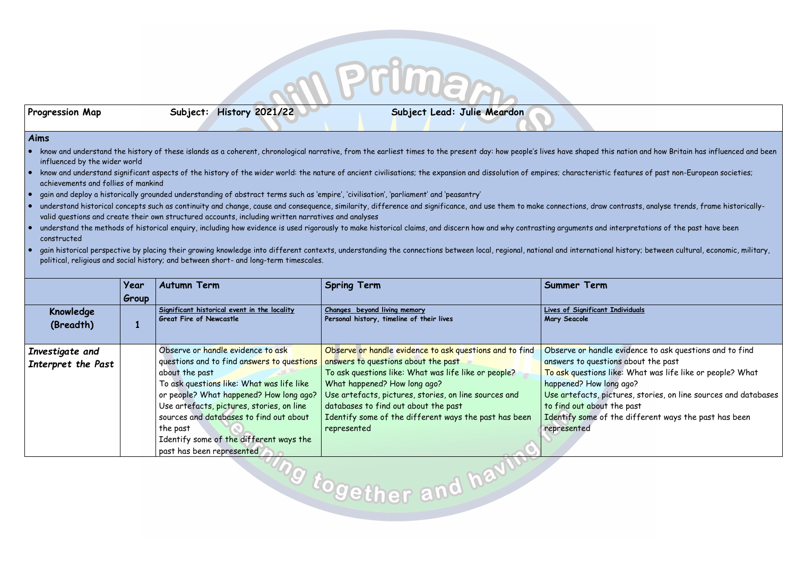Progression Map Subject: History 2021/22 Subject Lead: Julie Meardon

### **Aims**

- know and understand the history of these islands as a coherent, chronological narrative, from the earliest times to the present day: how people's lives have shaped this nation and how Britain has influenced and been influenced by the wider world
- know and understand significant aspects of the history of the wider world: the nature of ancient civilisations; the expansion and dissolution of empires; characteristic features of past non-European societies; achievements and follies of mankind
- gain and deploy a historically grounded understanding of abstract terms such as 'empire', 'civilisation', 'parliament' and 'peasantry'
- understand historical concepts such as continuity and change, cause and consequence, similarity, difference and significance, and use them to make connections, draw contrasts, analyse trends, frame historicallyvalid questions and create their own structured accounts, including written narratives and analyses
- understand the methods of historical enquiry, including how evidence is used rigorously to make historical claims, and discern how and why contrasting arguments and interpretations of the past have been constructed
- gain historical perspective by placing their growing knowledge into different contexts, understanding the connections between local, regional, national and international history; between cultural, economic, military, political, religious and social history; and between short- and long-term timescales.

### **Lives of Significant Individuals**

dle evidence to ask questions and to find tions about the past s like: What was life like or people? What long ago? pictures, stories, on line sources and databases it the past of the different ways the past has been

|                                       | Year<br>Group | <b>Autumn Term</b>                                                                                                                                                                                                                                                                                                                                                    | <b>Spring Term</b>                                                                                                                                                                                                                                                                                                                                              | <b>Summer Term</b>                                                                                                                                     |
|---------------------------------------|---------------|-----------------------------------------------------------------------------------------------------------------------------------------------------------------------------------------------------------------------------------------------------------------------------------------------------------------------------------------------------------------------|-----------------------------------------------------------------------------------------------------------------------------------------------------------------------------------------------------------------------------------------------------------------------------------------------------------------------------------------------------------------|--------------------------------------------------------------------------------------------------------------------------------------------------------|
| Knowledge<br>(Breadth)                |               | Significant historical event in the locality<br><b>Great Fire of Newcastle</b>                                                                                                                                                                                                                                                                                        | Changes beyond living memory<br>Personal history, timeline of their lives                                                                                                                                                                                                                                                                                       | <b>Lives of Significant</b><br>Mary Seacole                                                                                                            |
| Investigate and<br>Interpret the Past |               | Observe or handle evidence to ask<br>questions and to find answers to questions<br>about the past<br>To ask questions like: What was life like<br>or people? What happened? How long ago?<br>Use artefacts, pictures, stories, on line<br>sources and databases to find out about<br>the past<br>Identify some of the different ways the<br>past has been represented | Observe or handle evidence to ask questions and to find<br>answers to questions about the past<br>To ask questions like: What was life like or people?<br>What happened? How long ago?<br>Use artefacts, pictures, stories, on line sources and<br>databases to find out about the past<br>Identify some of the different ways the past has been<br>represented | Observe or hand<br>answers to quest<br>To ask questions<br>happened? How I<br>Use artefacts, p<br>to find out about<br>Identify some of<br>represented |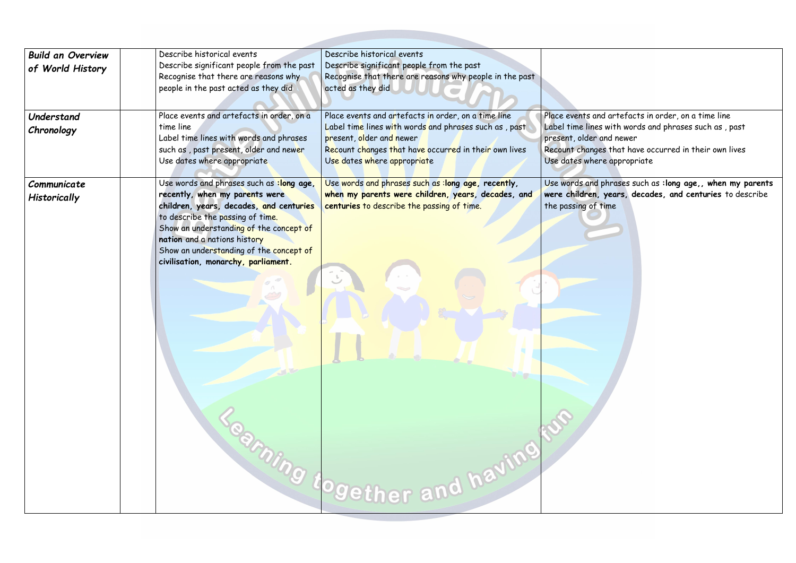| <b>Build an Overview</b><br>of World History<br>Understand | Describe historical events<br>Describe significant people from the past<br>Recognise that there are reasons why<br>people in the past acted as they did<br>Place events and artefacts in order, on a                                                                                                                   | Describe historical events<br>Describe significant people from the past<br>Recognise that there are reasons why people in the past<br>acted as they did<br>Place events and artefacts in order, on a time line | Place events and                                                           |
|------------------------------------------------------------|------------------------------------------------------------------------------------------------------------------------------------------------------------------------------------------------------------------------------------------------------------------------------------------------------------------------|----------------------------------------------------------------------------------------------------------------------------------------------------------------------------------------------------------------|----------------------------------------------------------------------------|
| Chronology                                                 | time line<br>Label time lines with words and phrases<br>such as , past present, older and newer<br>Use dates where appropriate                                                                                                                                                                                         | Label time lines with words and phrases such as, past<br>present, older and newer<br>Recount changes that have occurred in their own lives<br>Use dates where appropriate                                      | Label time lines<br>present, older a<br>Recount change:<br>Use dates where |
| Communicate<br><b>Historically</b>                         | Use words and phrases such as :long age,<br>recently, when my parents were<br>children, years, decades, and centuries<br>to describe the passing of time.<br>Show an understanding of the concept of<br>nation and a nations history<br>Show an understanding of the concept of<br>civilisation, monarchy, parliament. | Use words and phrases such as : long age, recently,<br>when my parents were children, years, decades, and<br>centuries to describe the passing of time.<br><b>Parting dogether and having</b>                  | Use words and p<br>were children,<br>the passing of t                      |

d artefacts in order, on a time line with words and phrases such as , past and newer es that have occurred in their own lives

<mark>re appropriate</mark>

phrases such as **:long age,, when my parents** years, decades, and centuries to describe time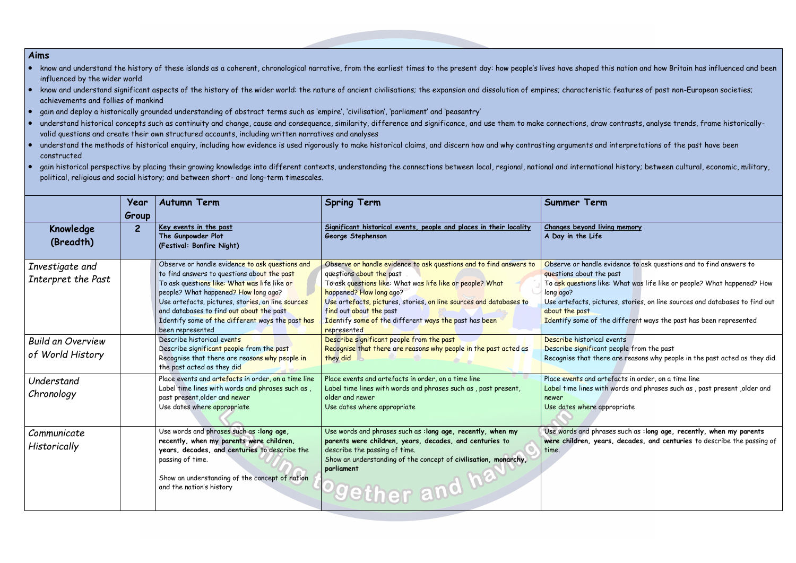- know and understand the history of these islands as a coherent, chronological narrative, from the earliest times to the present day: how people's lives have shaped this nation and how Britain has influenced and been influenced by the wider world
- know and understand significant aspects of the history of the wider world: the nature of ancient civilisations; the expansion and dissolution of empires; characteristic features of past non-European societies; achievements and follies of mankind
- gain and deploy a historically grounded understanding of abstract terms such as 'empire', 'civilisation', 'parliament' and 'peasantry'
- understand historical concepts such as continuity and change, cause and consequence, similarity, difference and significance, and use them to make connections, draw contrasts, analyse trends, frame historicallyvalid questions and create their own structured accounts, including written narratives and analyses
- understand the methods of historical enquiry, including how evidence is used rigorously to make historical claims, and discern how and why contrasting arguments and interpretations of the past have been constructed
- gain historical perspective by placing their growing knowledge into different contexts, understanding the connections between local, regional, national and international history; between cultural, economic, military, political, religious and social history; and between short- and long-term timescales.

|                                              | Year<br>Group  | <b>Autumn Term</b>                                                                                                                                                                                                                                                                                                                                              | <b>Spring Term</b>                                                                                                                                                                                                                                                                                                                                              | <b>Summer Term</b>                                                                                                                                |
|----------------------------------------------|----------------|-----------------------------------------------------------------------------------------------------------------------------------------------------------------------------------------------------------------------------------------------------------------------------------------------------------------------------------------------------------------|-----------------------------------------------------------------------------------------------------------------------------------------------------------------------------------------------------------------------------------------------------------------------------------------------------------------------------------------------------------------|---------------------------------------------------------------------------------------------------------------------------------------------------|
| Knowledge<br>(Breadth)                       | $\overline{2}$ | Key events in the past<br>The Gunpowder Plot<br>(Festival: Bonfire Night)                                                                                                                                                                                                                                                                                       | Significant historical events, people and places in their locality<br>George Stephenson                                                                                                                                                                                                                                                                         | Changes beyond livi<br>A Day in the Life                                                                                                          |
| Investigate and<br>Interpret the Past        |                | Observe or handle evidence to ask questions and<br>to find answers to questions about the past<br>To ask questions like: What was life like or<br>people? What happened? How long ago?<br>Use artefacts, pictures, stories, on line sources<br>and databases to find out about the past<br>Identify some of the different ways the past has<br>been represented | Observe or handle evidence to ask questions and to find answers to<br>questions about the past<br>To ask questions like: What was life like or people? What<br>happened? How long ago?<br>Use artefacts, pictures, stories, on line sources and databases to<br>find out about the past<br>Identify some of the different ways the past has been<br>represented | Observe or handle e<br>questions about the<br>To ask questions like<br>long ago?<br>Use artefacts, pictu<br>about the past<br>Identify some of th |
| <b>Build an Overview</b><br>of World History |                | Describe historical events<br>Describe significant people from the past<br>Recognise that there are reasons why people in<br>the past acted as they did                                                                                                                                                                                                         | Describe significant people from the past<br>Recognise that there are reasons why people in the past acted as<br>they did                                                                                                                                                                                                                                       | Describe historical<br>Describe significant<br>Recognise that ther                                                                                |
| Understand<br>Chronology                     |                | Place events and artefacts in order, on a time line<br>Label time lines with words and phrases such as,<br>past present, older and newer<br>Use dates where appropriate                                                                                                                                                                                         | Place events and artefacts in order, on a time line<br>Label time lines with words and phrases such as, past present,<br>older and newer<br>Use dates where appropriate                                                                                                                                                                                         | Place events and art<br>Label time lines with<br>newer<br>Use dates where app                                                                     |
| Communicate<br>Historically                  |                | Use words and phrases such as : long age,<br>recently, when my parents were children,<br>years, decades, and centuries to describe the<br>passing of time.<br>Show an understanding of the concept of nation<br>and the nation's history                                                                                                                        | Use words and phrases such as : long age, recently, when my<br>parents were children, years, decades, and centuries to<br>describe the passing of time.<br>Show an understanding of the concept of civilisation, monarchy,<br>parliament<br>Ogether and ha                                                                                                      | Use words and phras<br>were children, year<br>time.                                                                                               |

**Ving memory** 

evidence to ask questions and to find answers to le past

ike: What was life like or people? What happened? How

tures, stories, on line sources and databases to find out

the different ways the past has been represented

I events nt people from the past ere are reasons why people in the past acted as they did

rtefacts in order, on a time line ith words and phrases such as , past present ,older and

appropriate

rases such as **:long age, recently, when my parents** ears, decades, and centuries to describe the passing of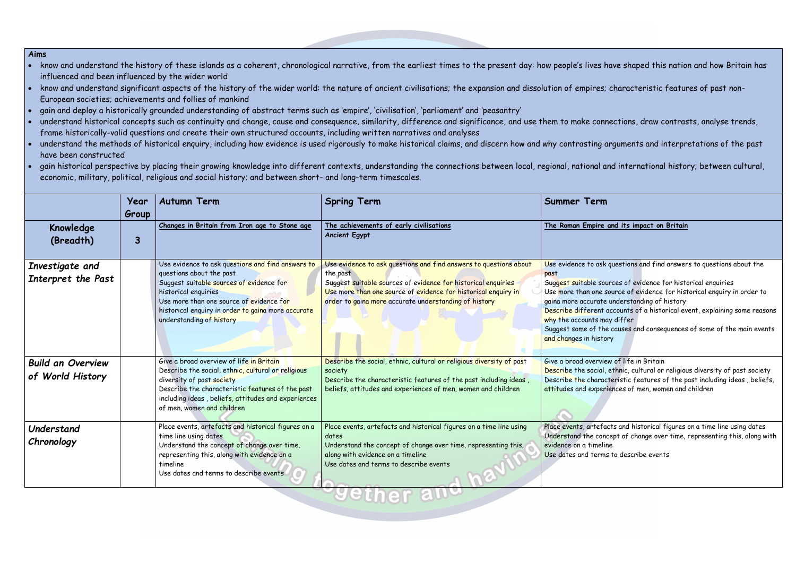- know and understand the history of these islands as a coherent, chronological narrative, from the earliest times to the present day: how people's lives have shaped this nation and how Britain has influenced and been influenced by the wider world
- know and understand significant aspects of the history of the wider world: the nature of ancient civilisations; the expansion and dissolution of empires; characteristic features of past non-European societies; achievements and follies of mankind
- gain and deploy a historically grounded understanding of abstract terms such as 'empire', 'civilisation', 'parliament' and 'peasantry'
- understand historical concepts such as continuity and change, cause and consequence, similarity, difference and significance, and use them to make connections, draw contrasts, analyse trends, frame historically-valid questions and create their own structured accounts, including written narratives and analyses
- understand the methods of historical enquiry, including how evidence is used rigorously to make historical claims, and discern how and why contrasting arguments and interpretations of the past have been constructed
- gain historical perspective by placing their growing knowledge into different contexts, understanding the connections between local, regional, national and international history; between cultural, economic, military, political, religious and social history; and between short- and long-term timescales.

### **The Roman Empire and its impact on Britain**

k questions and find answers to questions about the

ources of evidence for historical enquiries

gust more of evidence for historical enquiry in order to te understanding of history

t accounts of a historical event, explaining some reasons nay differ

he causes and consequences of some of the main events tory

iew of life in Britain

al, ethnic, cultural or religious diversity of past society acteristic features of the past including ideas , beliefs, eriences of men, women and children

facts and historical figures on a time line using dates oncept of change over time, representing this, along with eline

ms to describe events

|                                              | Year<br>Group | <b>Autumn Term</b>                                                                                                                                                                                                                                                              | <b>Spring Term</b>                                                                                                                                                                                                                                                        | <b>Summer Term</b>                                                                                                                                                                            |
|----------------------------------------------|---------------|---------------------------------------------------------------------------------------------------------------------------------------------------------------------------------------------------------------------------------------------------------------------------------|---------------------------------------------------------------------------------------------------------------------------------------------------------------------------------------------------------------------------------------------------------------------------|-----------------------------------------------------------------------------------------------------------------------------------------------------------------------------------------------|
| Knowledge<br>(Breadth)                       | 3             | Changes in Britain from Iron age to Stone age                                                                                                                                                                                                                                   | The achievements of early civilisations<br><b>Ancient Egypt</b>                                                                                                                                                                                                           | The Roman Empire                                                                                                                                                                              |
| Investigate and<br>Interpret the Past        |               | Use evidence to ask questions and find answers to<br>questions about the past<br>Suggest suitable sources of evidence for<br>historical enquiries<br>Use more than one source of evidence for<br>historical enquiry in order to gaina more accurate<br>understanding of history | Use evidence to ask questions and find answers to questions about<br>the past<br>Suggest suitable sources of evidence for historical enquiries<br>Use more than one source of evidence for historical enquiry in<br>order to gaina more accurate understanding of history | Use evidence to ask<br>past<br>Suggest suitable sou<br>Use more than one s<br>gaina more accurate<br>Describe different<br>why the accounts mo<br>Suggest some of the<br>and changes in histo |
| <b>Build an Overview</b><br>of World History |               | Give a broad overview of life in Britain<br>Describe the social, ethnic, cultural or religious<br>diversity of past society<br>Describe the characteristic features of the past<br>including ideas, beliefs, attitudes and experiences<br>of men, women and children            | Describe the social, ethnic, cultural or religious diversity of past<br>society<br>Describe the characteristic features of the past including ideas,<br>beliefs, attitudes and experiences of men, women and children                                                     | Give a broad overvie<br>Describe the social,<br>Describe the charac<br>attitudes and exper                                                                                                    |
| Understand<br>Chronology                     |               | Place events, artefacts and historical figures on a<br>time line using dates<br>Understand the concept of change over time,<br>representing this, along with evidence on a<br>timeline<br>Use dates and terms to describe events                                                | Place events, artefacts and historical figures on a time line using<br>dates<br>Understand the concept of change over time, representing this,<br>along with evidence on a timeline<br>Use dates and terms to describe events                                             | Place events, artefa<br>Understand the cone<br>evidence on a timelin<br>Use dates and term:                                                                                                   |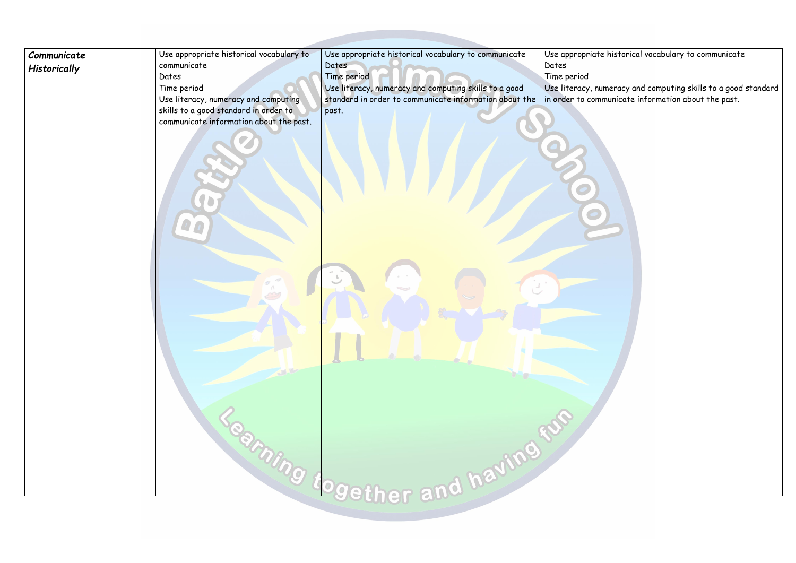| Communicate  | Use appropriate historical vocabulary to | Use appropriate historical vocabulary to communicate   | Use appropriate   |
|--------------|------------------------------------------|--------------------------------------------------------|-------------------|
| Historically | communicate                              | Dates                                                  | Dates             |
|              | Dates                                    | Time period                                            | Time period       |
|              | Time period                              | Use literacy, numeracy and computing skills to a good  | Use literacy, num |
|              | Use literacy, numeracy and computing     | standard in order to communicate information about the | in order to comm  |
|              | skills to a good standard in order to    | past.                                                  |                   |
|              | communicate information about the past.  |                                                        |                   |
|              |                                          |                                                        |                   |
|              | Seaming toger                            | <b>End having for</b>                                  |                   |

# historical vocabulary to communicate

Use literacy, numeracy and computing skills to a good standard in order to communicate information about the past.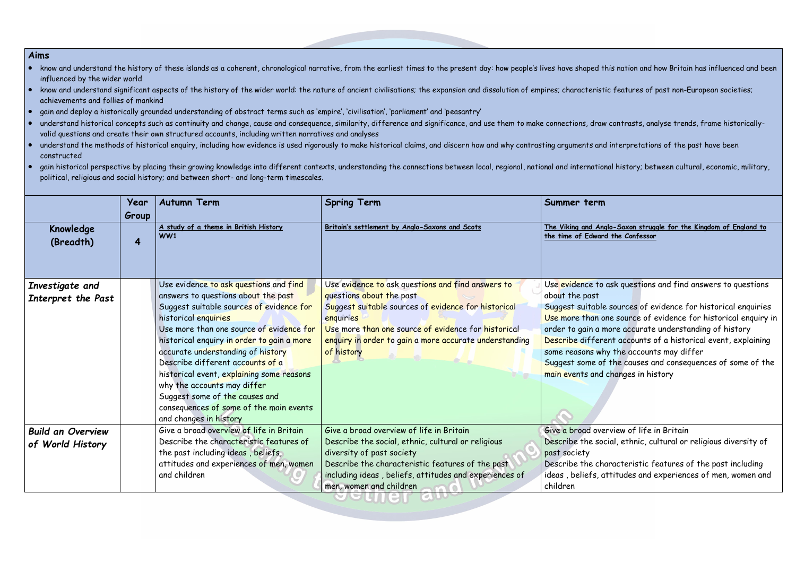- know and understand the history of these islands as a coherent, chronological narrative, from the earliest times to the present day: how people's lives have shaped this nation and how Britain has influenced and been influenced by the wider world
- know and understand significant aspects of the history of the wider world: the nature of ancient civilisations; the expansion and dissolution of empires; characteristic features of past non-European societies; achievements and follies of mankind
- gain and deploy a historically grounded understanding of abstract terms such as 'empire', 'civilisation', 'parliament' and 'peasantry'
- understand historical concepts such as continuity and change, cause and consequence, similarity, difference and significance, and use them to make connections, draw contrasts, analyse trends, frame historicallyvalid questions and create their own structured accounts, including written narratives and analyses
- understand the methods of historical enquiry, including how evidence is used rigorously to make historical claims, and discern how and why contrasting arguments and interpretations of the past have been constructed
- gain historical perspective by placing their growing knowledge into different contexts, understanding the connections between local, regional, national and international history; between cultural, economic, military, political, religious and social history; and between short- and long-term timescales.

**Britain's settlement by Anglo-Saxons and Scots The Viking and Anglo-Saxon struggle for the Kingdom of England to the Confessor** 

ask questions and find answers to questions

e sources of evidence for historical enquiries one source of evidence for historical enquiry in more accurate understanding of history ent accounts of a historical event, explaining hy the accounts may differ

of the causes and consequences of some of the changes in history

erview of life in Britain ocial, ethnic, cultural or religious diversity of

naracteristic features of the past including attitudes and experiences of men, women and

|                                              | Year<br>Group | <b>Autumn Term</b>                                                                                                                                                                                                                                                                                                                                                                                                                                                                                      | <b>Spring Term</b>                                                                                                                                                                                                                                                               | Summer term                                                                                                                                                                |
|----------------------------------------------|---------------|---------------------------------------------------------------------------------------------------------------------------------------------------------------------------------------------------------------------------------------------------------------------------------------------------------------------------------------------------------------------------------------------------------------------------------------------------------------------------------------------------------|----------------------------------------------------------------------------------------------------------------------------------------------------------------------------------------------------------------------------------------------------------------------------------|----------------------------------------------------------------------------------------------------------------------------------------------------------------------------|
| Knowledge<br>(Breadth)                       | 4             | A study of a theme in British History<br>WW1                                                                                                                                                                                                                                                                                                                                                                                                                                                            | Britain's settlement by Anglo-Saxons and Scots                                                                                                                                                                                                                                   | The Viking and Ang<br>the time of Edward                                                                                                                                   |
| Investigate and<br>Interpret the Past        |               | Use evidence to ask questions and find<br>answers to questions about the past<br>Suggest suitable sources of evidence for<br>historical enquiries<br>Use more than one source of evidence for<br>historical enquiry in order to gain a more<br>accurate understanding of history<br>Describe different accounts of a<br>historical event, explaining some reasons<br>why the accounts may differ<br>Suggest some of the causes and<br>consequences of some of the main events<br>and changes in history | Use evidence to ask questions and find answers to<br>questions about the past<br>Suggest suitable sources of evidence for historical<br>enquiries<br>Use more than one source of evidence for historical<br>enquiry in order to gain a more accurate understanding<br>of history | Use evidence to<br>about the past<br>Suggest suitable<br>Use more than o<br>order to gain a n<br>Describe differe<br>some reasons wh<br>Suggest some of<br>main events and |
| <b>Build an Overview</b><br>of World History |               | Give a broad overview of life in Britain<br>Describe the characteristic features of<br>the past including ideas, beliefs,<br>attitudes and experiences of men, women<br>and children                                                                                                                                                                                                                                                                                                                    | Give a broad overview of life in Britain<br>Describe the social, ethnic, cultural or religious<br>diversity of past society<br>Describe the characteristic features of the past<br>including ideas, beliefs, attitudes and experiences of<br>men, women and children             | Give a broad ove<br>Describe the sor<br>past society<br>Describe the ch<br>ideas, beliefs, a<br>children                                                                   |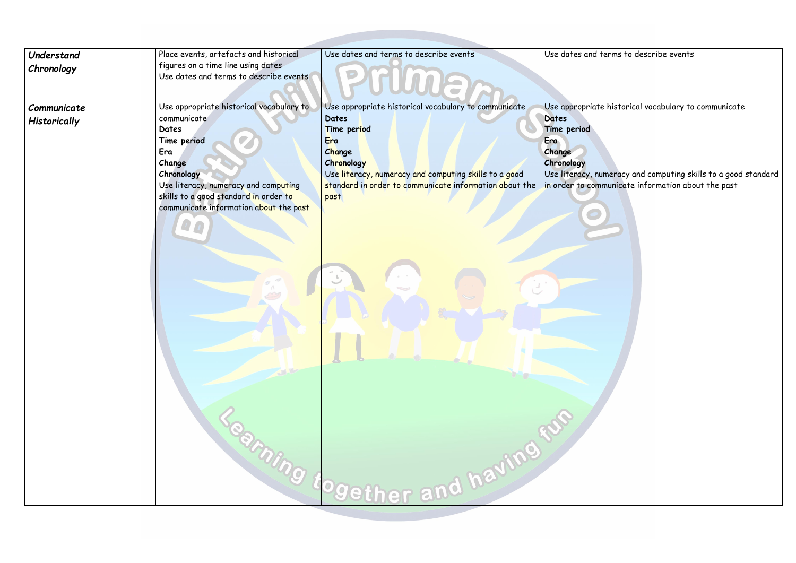| Understand<br>Chronology    | Place events, artefacts and historical<br>figures on a time line using dates<br>Use dates and terms to describe events                                                                                                                    | Use dates and terms to describe events                                                                                                                                                                                                                                             | Use dates and to                                                                                                |
|-----------------------------|-------------------------------------------------------------------------------------------------------------------------------------------------------------------------------------------------------------------------------------------|------------------------------------------------------------------------------------------------------------------------------------------------------------------------------------------------------------------------------------------------------------------------------------|-----------------------------------------------------------------------------------------------------------------|
| Communicate<br>Historically | Use appropriate historical vocabulary to<br>communicate<br>Dates<br>Time period<br>Era<br>Change<br>Chronology<br>Use literacy, numeracy and computing<br>skills to a good standard in order to<br>communicate information about the past | Use appropriate historical vocabulary to communicate<br><b>Dates</b><br>Time period<br>Era<br>Change<br>Chronology<br>Use literacy, numeracy and computing skills to a good<br>standard in order to communicate information about the<br>past<br><b>Reming together and having</b> | Use appropriate<br>Dates<br>Time period<br>Era<br>Change<br>Chronology<br>Use literacy, nur<br>in order to comn |
|                             |                                                                                                                                                                                                                                           |                                                                                                                                                                                                                                                                                    |                                                                                                                 |

terms to describe events

thistorical vocabulary to communicate

Use literacy, numeracy and computing skills to a good standard in order to communicate information about the past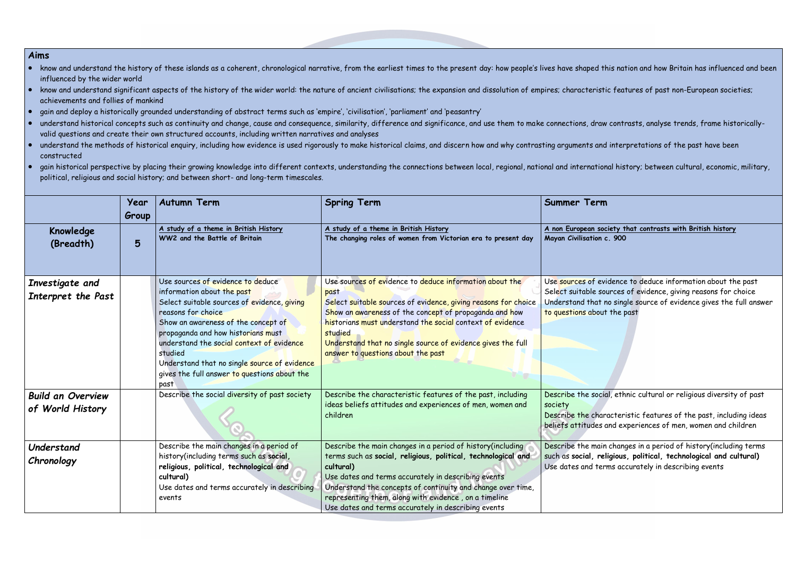- know and understand the history of these islands as a coherent, chronological narrative, from the earliest times to the present day: how people's lives have shaped this nation and how Britain has influenced and been influenced by the wider world
- know and understand significant aspects of the history of the wider world: the nature of ancient civilisations; the expansion and dissolution of empires; characteristic features of past non-European societies; achievements and follies of mankind
- gain and deploy a historically grounded understanding of abstract terms such as 'empire', 'civilisation', 'parliament' and 'peasantry'
- understand historical concepts such as continuity and change, cause and consequence, similarity, difference and significance, and use them to make connections, draw contrasts, analyse trends, frame historicallyvalid questions and create their own structured accounts, including written narratives and analyses
- understand the methods of historical enquiry, including how evidence is used rigorously to make historical claims, and discern how and why contrasting arguments and interpretations of the past have been constructed
- gain historical perspective by placing their growing knowledge into different contexts, understanding the connections between local, regional, national and international history; between cultural, economic, military, political, religious and social history; and between short- and long-term timescales.

#### **A non European society that contrasts with British history Mayan Civilisation c. 900**

vidence to deduce information about the past sources of evidence, giving reasons for choice no single source of evidence gives the full answer ut the past

ial, ethnic cultural or religious diversity of past

aracteristic features of the past, including ideas and experiences of men, women and children

in changes in a period of history(including terms such as **social, religious, political, technological and cultural)** erms accurately in describing events

|                                              | Year<br>Group | <b>Autumn Term</b>                                                                                                                                                                                                                                                                                                                                                                | <b>Spring Term</b>                                                                                                                                                                                                                                                                                                                                                              | <b>Summer Term</b>                                                                   |
|----------------------------------------------|---------------|-----------------------------------------------------------------------------------------------------------------------------------------------------------------------------------------------------------------------------------------------------------------------------------------------------------------------------------------------------------------------------------|---------------------------------------------------------------------------------------------------------------------------------------------------------------------------------------------------------------------------------------------------------------------------------------------------------------------------------------------------------------------------------|--------------------------------------------------------------------------------------|
| Knowledge<br>(Breadth)                       | 5             | A study of a theme in British History<br>WW2 and the Battle of Britain                                                                                                                                                                                                                                                                                                            | A study of a theme in British History<br>The changing roles of women from Victorian era to present day                                                                                                                                                                                                                                                                          | A non European soc<br>Mayan Civilisation c                                           |
| Investigate and<br>Interpret the Past        |               | Use sources of evidence to deduce<br>information about the past<br>Select suitable sources of evidence, giving<br>reasons for choice<br>Show an awareness of the concept of<br>propaganda and how historians must<br>understand the social context of evidence<br>studied<br>Understand that no single source of evidence<br>gives the full answer to questions about the<br>past | Use sources of evidence to deduce information about the<br>past<br>Select suitable sources of evidence, giving reasons for choice<br>Show an awareness of the concept of propaganda and how<br>historians must understand the social context of evidence<br>studied<br>Understand that no single source of evidence gives the full<br>answer to questions about the past        | Use sources of evi<br>Select suitable sor<br>Understand that n<br>to questions about |
| <b>Build an Overview</b><br>of World History |               | Describe the social diversity of past society                                                                                                                                                                                                                                                                                                                                     | Describe the characteristic features of the past, including<br>ideas beliefs attitudes and experiences of men, women and<br>children                                                                                                                                                                                                                                            | Describe the socio<br>society<br>Describe the char<br>beliefs attitudes a            |
| Understand<br>Chronology                     |               | Describe the main changes in a period of<br>history(including terms such as social,<br>religious, political, technological and<br>cultural)<br>Use dates and terms accurately in describing<br>events                                                                                                                                                                             | Describe the main changes in a period of history (including<br>terms such as social, religious, political, technological and<br>cultural)<br>Use dates and terms accurately in describing events<br>Understand the concepts of continuity and change over time,<br>representing them, along with evidence, on a timeline<br>Use dates and terms accurately in describing events | Describe the main<br>such as social, rel<br>Use dates and ter                        |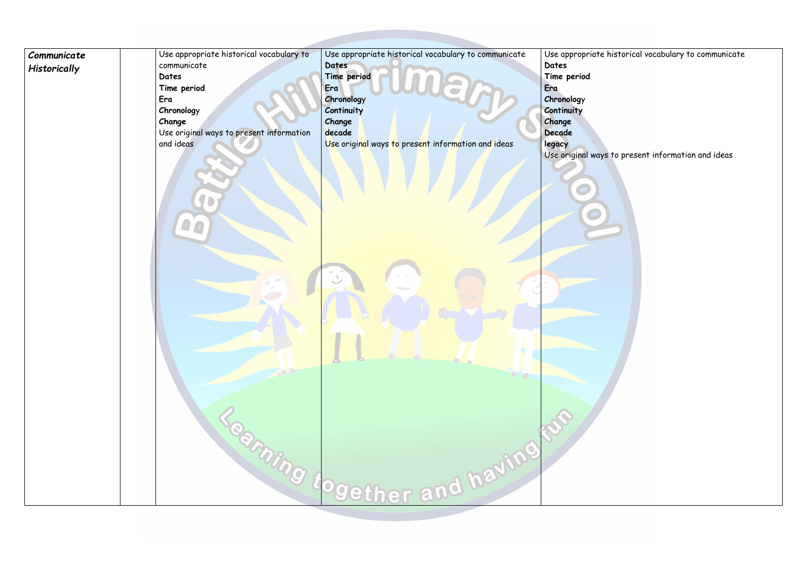| Communicate<br>Historically | Use appropriate historical vocabulary to<br>communicate<br>Dates<br>Time period<br>Era<br>Chronology<br>Change<br>Use original ways to present information<br>and ideas | Use appropriate historical vocabulary to communicate<br>Dates<br>Time period<br>Era<br>Chronology<br>Continuity<br>Change<br>decade<br>Use original ways to present information and ideas<br>Restaung together and having | Use appropriate<br>Dates<br>Time period<br>Era<br>Chronology<br>Continuity<br>Change<br>Decade<br>legacy<br>Use original way<br>ESS |
|-----------------------------|-------------------------------------------------------------------------------------------------------------------------------------------------------------------------|---------------------------------------------------------------------------------------------------------------------------------------------------------------------------------------------------------------------------|-------------------------------------------------------------------------------------------------------------------------------------|
|-----------------------------|-------------------------------------------------------------------------------------------------------------------------------------------------------------------------|---------------------------------------------------------------------------------------------------------------------------------------------------------------------------------------------------------------------------|-------------------------------------------------------------------------------------------------------------------------------------|

## thistorical vocabulary to communicate

 $\dot{}$  to present information and ideas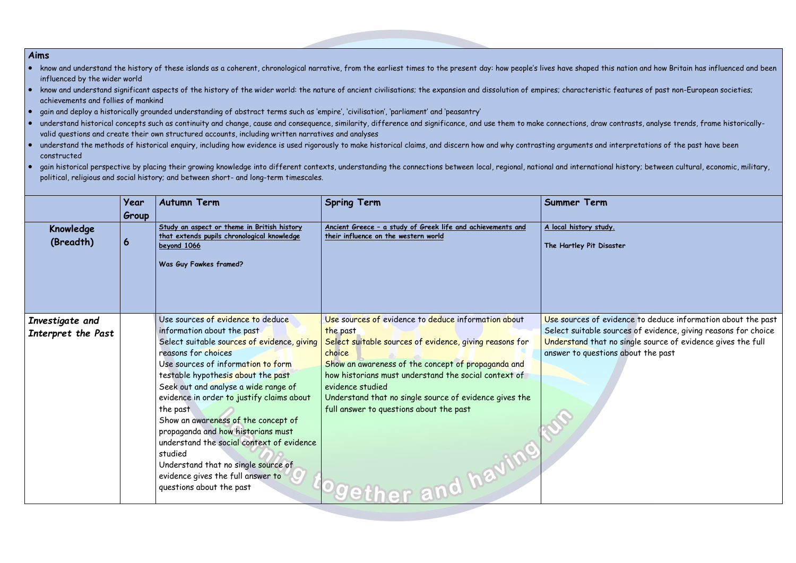- know and understand the history of these islands as a coherent, chronological narrative, from the earliest times to the present day: how people's lives have shaped this nation and how Britain has influenced and been influenced by the wider world
- know and understand significant aspects of the history of the wider world: the nature of ancient civilisations; the expansion and dissolution of empires; characteristic features of past non-European societies; achievements and follies of mankind
- gain and deploy a historically grounded understanding of abstract terms such as 'empire', 'civilisation', 'parliament' and 'peasantry'
- understand historical concepts such as continuity and change, cause and consequence, similarity, difference and significance, and use them to make connections, draw contrasts, analyse trends, frame historicallyvalid questions and create their own structured accounts, including written narratives and analyses
- understand the methods of historical enquiry, including how evidence is used rigorously to make historical claims, and discern how and why contrasting arguments and interpretations of the past have been constructed
- gain historical perspective by placing their growing knowledge into different contexts, understanding the connections between local, regional, national and international history; between cultural, economic, military, political, religious and social history; and between short- and long-term timescales.

**The Hartley Pit Disaster**

evidence to deduce information about the past sources of evidence, giving reasons for choice at no single source of evidence gives the full tions about the past

| Knowledge<br>(Breadth)                | Year<br>Group<br>6 | <b>Autumn Term</b><br>Study an aspect or theme in British history<br>that extends pupils chronological knowledge<br>beyond 1066<br>Was Guy Fawkes framed?                                                                                                                                                                                                                                                                                                                                                                                                       | <b>Spring Term</b><br>Ancient Greece - a study of Greek life and achievements and<br>their influence on the western world                                                                                                                                                                                                                                                                 | <b>Summer Term</b><br>A local history stud<br>The Hartley Pit Dis                    |
|---------------------------------------|--------------------|-----------------------------------------------------------------------------------------------------------------------------------------------------------------------------------------------------------------------------------------------------------------------------------------------------------------------------------------------------------------------------------------------------------------------------------------------------------------------------------------------------------------------------------------------------------------|-------------------------------------------------------------------------------------------------------------------------------------------------------------------------------------------------------------------------------------------------------------------------------------------------------------------------------------------------------------------------------------------|--------------------------------------------------------------------------------------|
| Investigate and<br>Interpret the Past |                    | Use sources of evidence to deduce<br>information about the past<br>Select suitable sources of evidence, giving<br>reasons for choices<br>Use sources of information to form<br>testable hypothesis about the past<br>Seek out and analyse a wide range of<br>evidence in order to justify claims about<br>the past<br>Show an awareness of the concept of<br>propaganda and how historians must<br>understand the social context of evidence<br>studied<br>Understand that no single source of<br>evidence gives the full answer to<br>questions about the past | Use sources of evidence to deduce information about<br>the past<br>Select suitable sources of evidence, giving reasons for<br>choice<br>Show an awareness of the concept of propaganda and<br>how historians must understand the social context of<br>evidence studied<br>Understand that no single source of evidence gives the<br>full answer to questions about the past<br>and having | Use sources of e<br>Select suitable s<br><b>Understand that</b><br>answer to questio |

udy.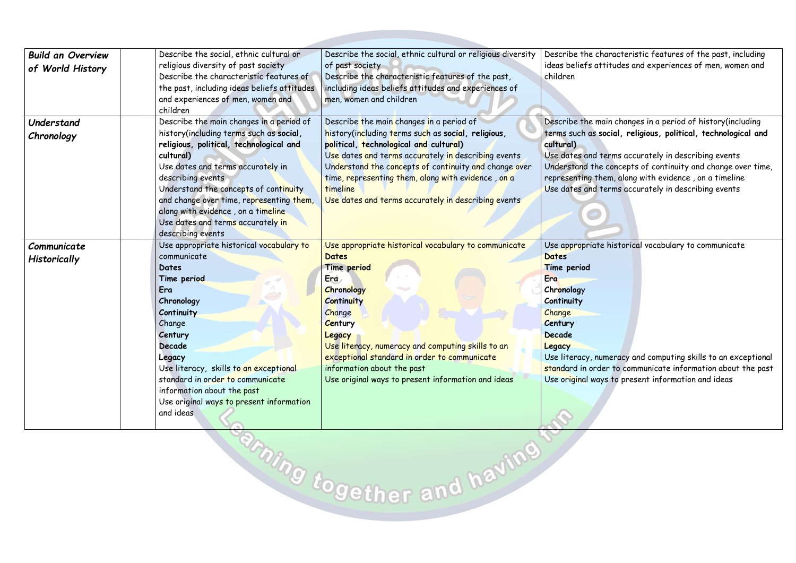| <b>Build an Overview</b> | Describe the social, ethnic cultural or     | Describe the social, ethnic cultural or religious diversity                                       | Describe the ch                 |
|--------------------------|---------------------------------------------|---------------------------------------------------------------------------------------------------|---------------------------------|
|                          | religious diversity of past society         | of past society                                                                                   | ideas beliefs at                |
| of World History         | Describe the characteristic features of     | Describe the characteristic features of the past,                                                 | children                        |
|                          | the past, including ideas beliefs attitudes | including ideas beliefs attitudes and experiences of                                              |                                 |
|                          | and experiences of men, women and           | men, women and children                                                                           |                                 |
|                          | children                                    |                                                                                                   |                                 |
| Understand               | Describe the main changes in a period of    | Describe the main changes in a period of                                                          | Describe the me                 |
| Chronology               | history(including terms such as social,     | history(including terms such as social, religious,                                                | terms such as s                 |
|                          | religious, political, technological and     | political, technological and cultural)                                                            | cultural)                       |
|                          | cultural)                                   | Use dates and terms accurately in describing events                                               | Use dates and t                 |
|                          | Use dates and terms accurately in           | Understand the concepts of continuity and change over                                             | Understand the                  |
|                          | describing events                           | time, representing them, along with evidence, on a                                                | representing th                 |
|                          | Understand the concepts of continuity       | timeline                                                                                          | Use dates and t                 |
|                          | and change over time, representing them,    | Use dates and terms accurately in describing events                                               |                                 |
|                          | along with evidence, on a timeline          |                                                                                                   |                                 |
|                          | Use dates and terms accurately in           |                                                                                                   |                                 |
|                          | describing events                           |                                                                                                   |                                 |
| Communicate              | Use appropriate historical vocabulary to    | Use appropriate historical vocabulary to communicate                                              | Use appropriate                 |
| Historically             | communicate                                 | <b>Dates</b>                                                                                      | Dates                           |
|                          | Dates                                       | Time period                                                                                       | Time period                     |
|                          | Time period                                 | Era                                                                                               | Era                             |
|                          | Era                                         | Chronology                                                                                        | Chronology                      |
|                          | Chronology                                  | <b>Continuity</b>                                                                                 | Continuity                      |
|                          | Continuity                                  | Change                                                                                            | Change                          |
|                          | Change                                      | Century                                                                                           | <b>Century</b><br><b>Decade</b> |
|                          | Century<br>Decade                           | Legacy                                                                                            |                                 |
|                          | Legacy                                      | Use literacy, numeracy and computing skills to an<br>exceptional standard in order to communicate | Legacy<br>Use literacy, nu      |
|                          | Use literacy, skills to an exceptional      | information about the past                                                                        | standard in ord                 |
|                          | standard in order to communicate            | Use original ways to present information and ideas                                                | Use original way                |
|                          | information about the past                  |                                                                                                   |                                 |
|                          | Use original ways to present information    |                                                                                                   |                                 |
|                          | and ideas                                   |                                                                                                   |                                 |
|                          |                                             |                                                                                                   |                                 |

**Broing together and having** 

haracteristic features of the past, including ttitudes and experiences of men, women and

nain changes in a period of history(including social, religious, political, technological and

terms accurately in describing events concepts of continuity and change over time, rem, along with evidence , on a timeline terms accurately in describing events

e historical vocabulary to communicate

umeracy and computing skills to an exceptional ler to communicate information about the past ys to present information and ideas